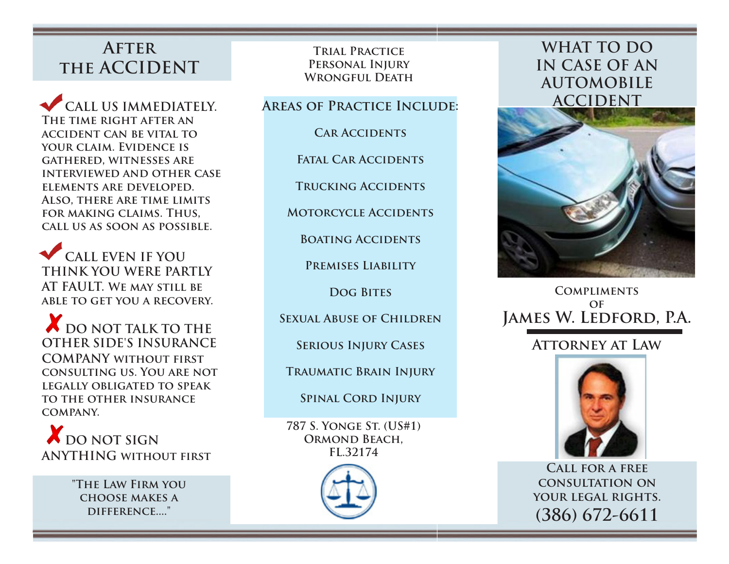# **After the ACCIDENT**

 **CALL US IMMEDIATELY. The time right after an accident can be vital to your claim. Evidence is gathered, witnesses are interviewed and other case elements are developed. Also, there are time limits for making claims. Thus, call us as soon as possible.** 

 **CALL EVEN IF YOU THINK YOU WERE PARTLY AT FAULT. We may still be able to get you a recovery.** 

 **DO NOT TALK TO THE OTHER SIDE'S INSURANCE COMPANY without first consulting us. You are not legally obligated to speak to the other insurance company.** 

 $\boldsymbol{X}$  DO NOT SIGN **ANYTHING without first** 

> **"The Law Firm you choose makes a difference...."**

**Trial Practice Personal Injury Wrongful Death** 

## **Areas of Practice Include:**

### **Car Accidents**

**Fatal Car Accidents** 

**Trucking Accidents** 

**Motorcycle Accidents** 

**Boating Accidents** 

**Premises Liability** 

**Dog Bites** 

**Sexual Abuse of Children** 

**Serious Injury Cases** 

**Traumatic Brain Injury** 

**Spinal Cord Injury** 

**787 S. Yonge St. (US#1) Ormond Beach, FL.32174** 



# **WHAT TO DO IN CASE OF AN AUTOMOBILE ACCIDENT**



## **Compliments of James W. Ledford, P.A.**

# **Attorney at Law**



**Call for a free consultation on your legal rights. (386) 672-6611**